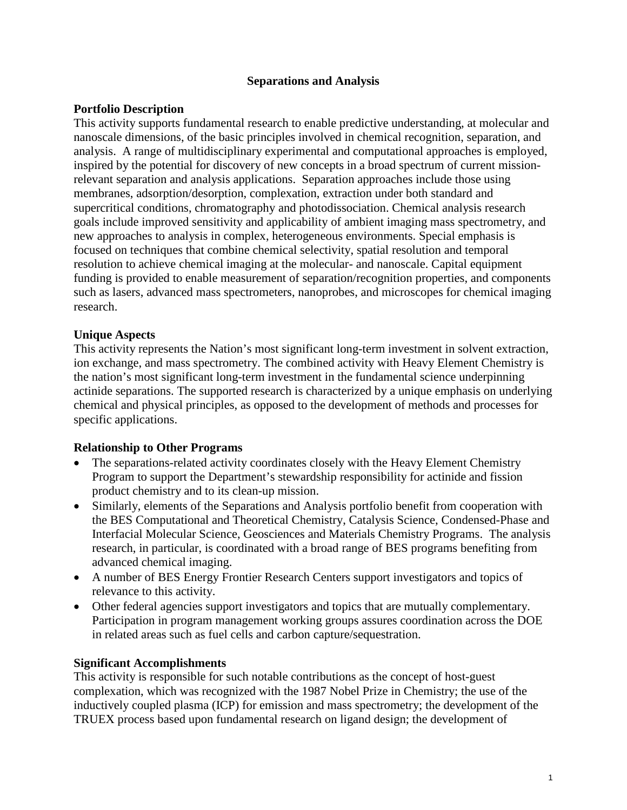### **Separations and Analysis**

## **Portfolio Description**

This activity supports fundamental research to enable predictive understanding, at molecular and nanoscale dimensions, of the basic principles involved in chemical recognition, separation, and analysis. A range of multidisciplinary experimental and computational approaches is employed, inspired by the potential for discovery of new concepts in a broad spectrum of current missionrelevant separation and analysis applications. Separation approaches include those using membranes, adsorption/desorption, complexation, extraction under both standard and supercritical conditions, chromatography and photodissociation. Chemical analysis research goals include improved sensitivity and applicability of ambient imaging mass spectrometry, and new approaches to analysis in complex, heterogeneous environments. Special emphasis is focused on techniques that combine chemical selectivity, spatial resolution and temporal resolution to achieve chemical imaging at the molecular- and nanoscale. Capital equipment funding is provided to enable measurement of separation/recognition properties, and components such as lasers, advanced mass spectrometers, nanoprobes, and microscopes for chemical imaging research.

### **Unique Aspects**

This activity represents the Nation's most significant long-term investment in solvent extraction, ion exchange, and mass spectrometry. The combined activity with Heavy Element Chemistry is the nation's most significant long-term investment in the fundamental science underpinning actinide separations. The supported research is characterized by a unique emphasis on underlying chemical and physical principles, as opposed to the development of methods and processes for specific applications.

#### **Relationship to Other Programs**

- The separations-related activity coordinates closely with the Heavy Element Chemistry Program to support the Department's stewardship responsibility for actinide and fission product chemistry and to its clean-up mission.
- Similarly, elements of the Separations and Analysis portfolio benefit from cooperation with the BES Computational and Theoretical Chemistry, Catalysis Science, Condensed-Phase and Interfacial Molecular Science, Geosciences and Materials Chemistry Programs. The analysis research, in particular, is coordinated with a broad range of BES programs benefiting from advanced chemical imaging.
- A number of BES Energy Frontier Research Centers support investigators and topics of relevance to this activity.
- Other federal agencies support investigators and topics that are mutually complementary. Participation in program management working groups assures coordination across the DOE in related areas such as fuel cells and carbon capture/sequestration.

#### **Significant Accomplishments**

This activity is responsible for such notable contributions as the concept of host-guest complexation, which was recognized with the 1987 Nobel Prize in Chemistry; the use of the inductively coupled plasma (ICP) for emission and mass spectrometry; the development of the TRUEX process based upon fundamental research on ligand design; the development of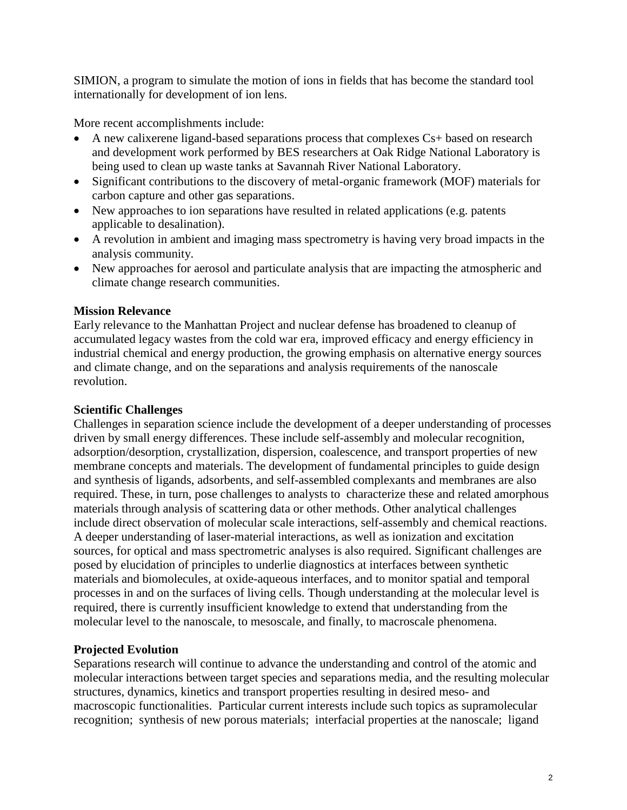SIMION, a program to simulate the motion of ions in fields that has become the standard tool internationally for development of ion lens.

More recent accomplishments include:

- A new calixerene ligand-based separations process that complexes Cs+ based on research and development work performed by BES researchers at Oak Ridge National Laboratory is being used to clean up waste tanks at Savannah River National Laboratory.
- Significant contributions to the discovery of metal-organic framework (MOF) materials for carbon capture and other gas separations.
- New approaches to ion separations have resulted in related applications (e.g. patents applicable to desalination).
- A revolution in ambient and imaging mass spectrometry is having very broad impacts in the analysis community.
- New approaches for aerosol and particulate analysis that are impacting the atmospheric and climate change research communities.

# **Mission Relevance**

Early relevance to the Manhattan Project and nuclear defense has broadened to cleanup of accumulated legacy wastes from the cold war era, improved efficacy and energy efficiency in industrial chemical and energy production, the growing emphasis on alternative energy sources and climate change, and on the separations and analysis requirements of the nanoscale revolution.

## **Scientific Challenges**

Challenges in separation science include the development of a deeper understanding of processes driven by small energy differences. These include self-assembly and molecular recognition, adsorption/desorption, crystallization, dispersion, coalescence, and transport properties of new membrane concepts and materials. The development of fundamental principles to guide design and synthesis of ligands, adsorbents, and self-assembled complexants and membranes are also required. These, in turn, pose challenges to analysts to characterize these and related amorphous materials through analysis of scattering data or other methods. Other analytical challenges include direct observation of molecular scale interactions, self-assembly and chemical reactions. A deeper understanding of laser-material interactions, as well as ionization and excitation sources, for optical and mass spectrometric analyses is also required. Significant challenges are posed by elucidation of principles to underlie diagnostics at interfaces between synthetic materials and biomolecules, at oxide-aqueous interfaces, and to monitor spatial and temporal processes in and on the surfaces of living cells. Though understanding at the molecular level is required, there is currently insufficient knowledge to extend that understanding from the molecular level to the nanoscale, to mesoscale, and finally, to macroscale phenomena.

# **Projected Evolution**

Separations research will continue to advance the understanding and control of the atomic and molecular interactions between target species and separations media, and the resulting molecular structures, dynamics, kinetics and transport properties resulting in desired meso- and macroscopic functionalities. Particular current interests include such topics as supramolecular recognition; synthesis of new porous materials; interfacial properties at the nanoscale; ligand